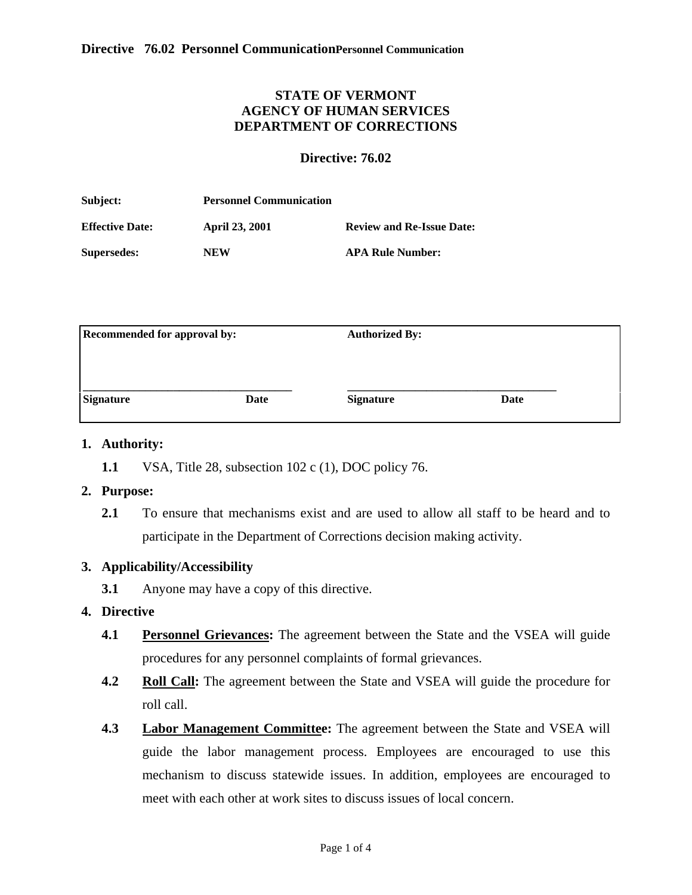# **STATE OF VERMONT AGENCY OF HUMAN SERVICES DEPARTMENT OF CORRECTIONS**

### <span id="page-0-0"></span>**Directive: 76.02**

| Subject:               | <b>Personnel Communication</b> |                                  |
|------------------------|--------------------------------|----------------------------------|
| <b>Effective Date:</b> | <b>April 23, 2001</b>          | <b>Review and Re-Issue Date:</b> |
| <b>Supersedes:</b>     | <b>NEW</b>                     | <b>APA Rule Number:</b>          |

| <b>Recommended for approval by:</b> |      | <b>Authorized By:</b> |      |
|-------------------------------------|------|-----------------------|------|
|                                     |      |                       |      |
| <b>Signature</b>                    | Date | <b>Signature</b>      | Date |
|                                     |      |                       |      |

#### **1. Authority:**

**1.1** VSA, Title 28, subsection 102 c (1), DOC policy 76.

### **2. Purpose:**

**2.1** To ensure that mechanisms exist and are used to allow all staff to be heard and to participate in the Department of Corrections decision making activity.

### **3. Applicability/Accessibility**

**3.1** Anyone may have a copy of this directive.

# **4. [Directive](#page-0-0)**

- **4.1 Personnel Grievances:** The agreement between the State and the VSEA will guide procedures for any personnel complaints of formal grievances.
- **4.2 Roll Call:** The agreement between the State and VSEA will guide the procedure for roll call.
- **4.3 Labor Management Committee:** The agreement between the State and VSEA will guide the labor management process. Employees are encouraged to use this mechanism to discuss statewide issues. In addition, employees are encouraged to meet with each other at work sites to discuss issues of local concern.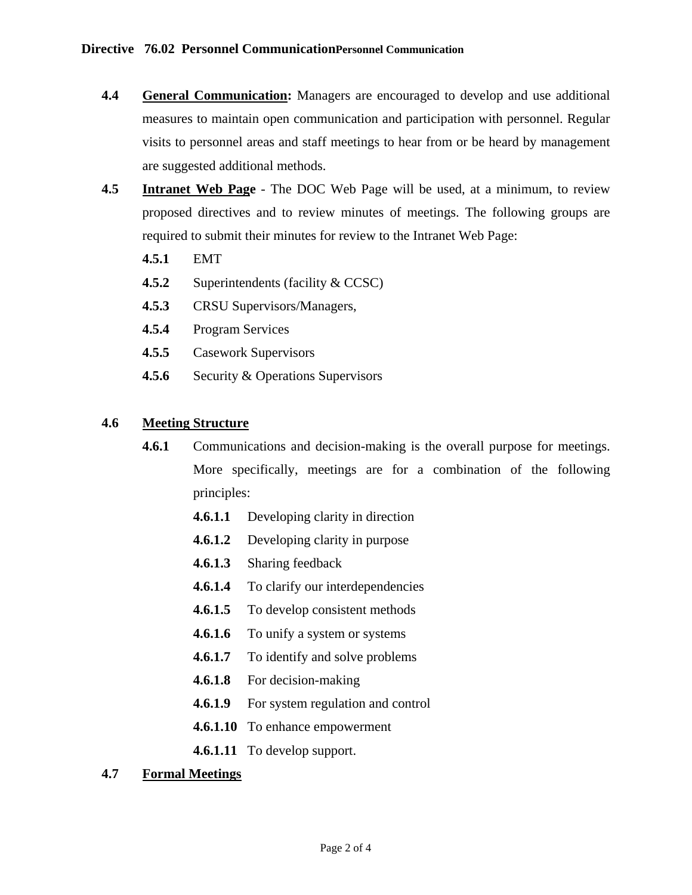- **4.4 General Communication:** Managers are encouraged to develop and use additional measures to maintain open communication and participation with personnel. Regular visits to personnel areas and staff meetings to hear from or be heard by management are suggested additional methods.
- **4.5 Intranet Web Page** The DOC Web Page will be used, at a minimum, to review proposed directives and to review minutes of meetings. The following groups are required to submit their minutes for review to the Intranet Web Page:
	- **4.5.1** EMT
	- **4.5.2** Superintendents (facility & CCSC)
	- **4.5.3** CRSU Supervisors/Managers,
	- **4.5.4** Program Services
	- **4.5.5** Casework Supervisors
	- **4.5.6** Security & Operations Supervisors

# **4.6 Meeting Structure**

- **4.6.1** Communications and decision-making is the overall purpose for meetings. More specifically, meetings are for a combination of the following principles:
	- **4.6.1.1** Developing clarity in direction
	- **4.6.1.2** Developing clarity in purpose
	- **4.6.1.3** Sharing feedback
	- **4.6.1.4** To clarify our interdependencies
	- **4.6.1.5** To develop consistent methods
	- **4.6.1.6** To unify a system or systems
	- **4.6.1.7** To identify and solve problems
	- **4.6.1.8** For decision-making
	- **4.6.1.9** For system regulation and control
	- **4.6.1.10** To enhance empowerment
	- **4.6.1.11** To develop support.

### **4.7 Formal Meetings**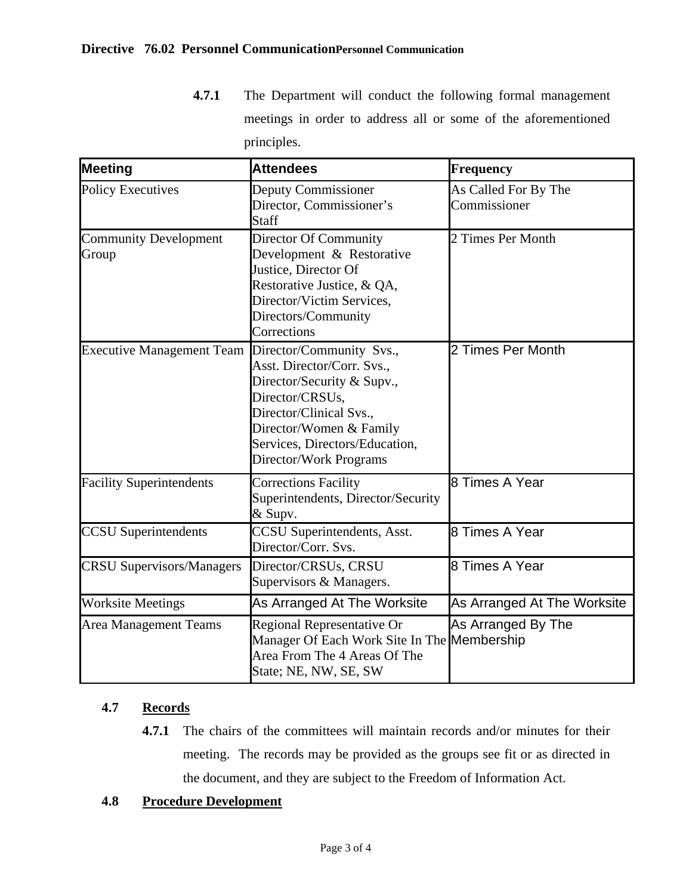**4.7.1** The Department will conduct the following formal management meetings in order to address all or some of the aforementioned principles.

| Meeting                               | <b>Attendees</b>                                                                                                                                                                                                          | Frequency                            |
|---------------------------------------|---------------------------------------------------------------------------------------------------------------------------------------------------------------------------------------------------------------------------|--------------------------------------|
| <b>Policy Executives</b>              | Deputy Commissioner<br>Director, Commissioner's<br>Staff                                                                                                                                                                  | As Called For By The<br>Commissioner |
| <b>Community Development</b><br>Group | Director Of Community<br>Development & Restorative<br>Justice, Director Of<br>Restorative Justice, & QA,<br>Director/Victim Services,<br>Directors/Community<br>Corrections                                               | 2 Times Per Month                    |
| <b>Executive Management Team</b>      | Director/Community Svs.,<br>Asst. Director/Corr. Svs.,<br>Director/Security & Supv.,<br>Director/CRSUs,<br>Director/Clinical Svs.,<br>Director/Women & Family<br>Services, Directors/Education,<br>Director/Work Programs | 2 Times Per Month                    |
| <b>Facility Superintendents</b>       | <b>Corrections Facility</b><br>Superintendents, Director/Security<br>& Supv.                                                                                                                                              | 8 Times A Year                       |
| <b>CCSU</b> Superintendents           | <b>CCSU</b> Superintendents, Asst.<br>Director/Corr. Svs.                                                                                                                                                                 | 8 Times A Year                       |
| <b>CRSU Supervisors/Managers</b>      | Director/CRSUs, CRSU<br>Supervisors & Managers.                                                                                                                                                                           | 8 Times A Year                       |
| <b>Worksite Meetings</b>              | As Arranged At The Worksite                                                                                                                                                                                               | As Arranged At The Worksite          |
| <b>Area Management Teams</b>          | Regional Representative Or<br>Manager Of Each Work Site In The Membership<br>Area From The 4 Areas Of The<br>State; NE, NW, SE, SW                                                                                        | As Arranged By The                   |

# **4.7 Records**

**4.7.1** The chairs of the committees will maintain records and/or minutes for their meeting. The records may be provided as the groups see fit or as directed in the document, and they are subject to the Freedom of Information Act.

# **4.8 Procedure Development**